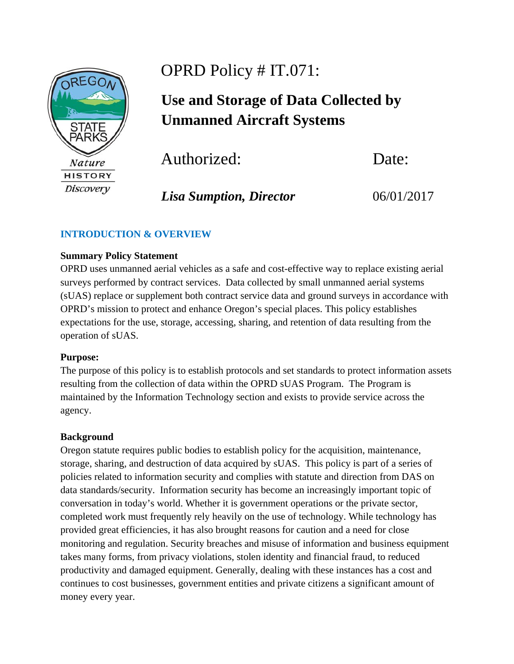

# OPRD Policy # IT.071:

# **Use and Storage of Data Collected by Unmanned Aircraft Systems**

Authorized:Date:

*Lisa Sumption, Director* 06/01/2017

# **INTRODUCTION & OVERVIEW**

## **Summary Policy Statement**

OPRD uses unmanned aerial vehicles as a safe and cost-effective way to replace existing aerial surveys performed by contract services. Data collected by small unmanned aerial systems (sUAS) replace or supplement both contract service data and ground surveys in accordance with OPRD's mission to protect and enhance Oregon's special places. This policy establishes expectations for the use, storage, accessing, sharing, and retention of data resulting from the operation of sUAS.

## **Purpose:**

The purpose of this policy is to establish protocols and set standards to protect information assets resulting from the collection of data within the OPRD sUAS Program. The Program is maintained by the Information Technology section and exists to provide service across the agency.

## **Background**

Oregon statute requires public bodies to establish policy for the acquisition, maintenance, storage, sharing, and destruction of data acquired by sUAS. This policy is part of a series of policies related to information security and complies with statute and direction from DAS on data standards/security. Information security has become an increasingly important topic of conversation in today's world. Whether it is government operations or the private sector, completed work must frequently rely heavily on the use of technology. While technology has provided great efficiencies, it has also brought reasons for caution and a need for close monitoring and regulation. Security breaches and misuse of information and business equipment takes many forms, from privacy violations, stolen identity and financial fraud, to reduced productivity and damaged equipment. Generally, dealing with these instances has a cost and continues to cost businesses, government entities and private citizens a significant amount of money every year.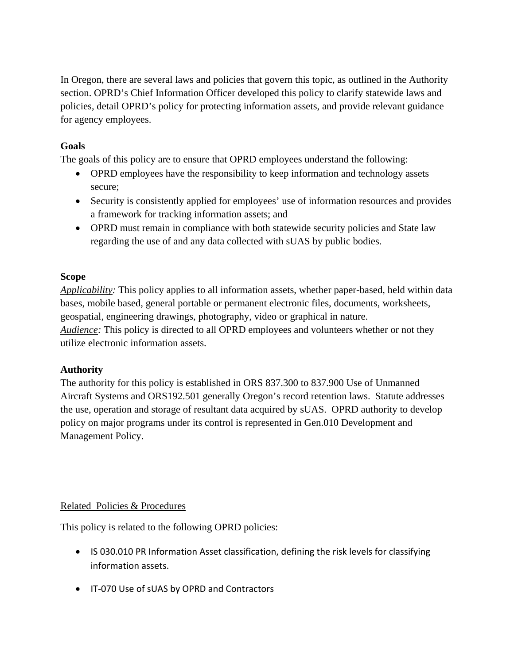In Oregon, there are several laws and policies that govern this topic, as outlined in the Authority section. OPRD's Chief Information Officer developed this policy to clarify statewide laws and policies, detail OPRD's policy for protecting information assets, and provide relevant guidance for agency employees.

## **Goals**

The goals of this policy are to ensure that OPRD employees understand the following:

- OPRD employees have the responsibility to keep information and technology assets secure;
- Security is consistently applied for employees' use of information resources and provides a framework for tracking information assets; and
- OPRD must remain in compliance with both statewide security policies and State law regarding the use of and any data collected with sUAS by public bodies.

## **Scope**

*Applicability:* This policy applies to all information assets, whether paper-based, held within data bases, mobile based, general portable or permanent electronic files, documents, worksheets, geospatial, engineering drawings, photography, video or graphical in nature. *Audience:* This policy is directed to all OPRD employees and volunteers whether or not they utilize electronic information assets.

## **Authority**

The authority for this policy is established in ORS 837.300 to 837.900 Use of Unmanned Aircraft Systems and ORS192.501 generally Oregon's record retention laws. Statute addresses the use, operation and storage of resultant data acquired by sUAS. OPRD authority to develop policy on major programs under its control is represented in Gen.010 Development and Management Policy.

## Related Policies & Procedures

This policy is related to the following OPRD policies:

- IS 030.010 PR Information Asset classification, defining the risk levels for classifying information assets.
- IT-070 Use of sUAS by OPRD and Contractors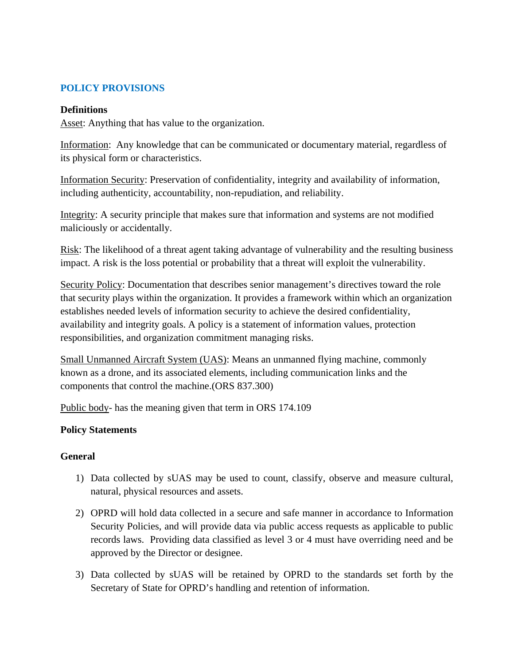# **POLICY PROVISIONS**

#### **Definitions**

Asset: Anything that has value to the organization.

Information: Any knowledge that can be communicated or documentary material, regardless of its physical form or characteristics.

Information Security: Preservation of confidentiality, integrity and availability of information, including authenticity, accountability, non-repudiation, and reliability.

Integrity: A security principle that makes sure that information and systems are not modified maliciously or accidentally.

Risk: The likelihood of a threat agent taking advantage of vulnerability and the resulting business impact. A risk is the loss potential or probability that a threat will exploit the vulnerability.

Security Policy: Documentation that describes senior management's directives toward the role that security plays within the organization. It provides a framework within which an organization establishes needed levels of information security to achieve the desired confidentiality, availability and integrity goals. A policy is a statement of information values, protection responsibilities, and organization commitment managing risks.

Small Unmanned Aircraft System (UAS): Means an unmanned flying machine, commonly known as a drone, and its associated elements, including communication links and the components that control the machine.(ORS 837.300)

Public body- has the meaning given that term in ORS 174.109

## **Policy Statements**

## **General**

- 1) Data collected by sUAS may be used to count, classify, observe and measure cultural, natural, physical resources and assets.
- 2) OPRD will hold data collected in a secure and safe manner in accordance to Information Security Policies, and will provide data via public access requests as applicable to public records laws. Providing data classified as level 3 or 4 must have overriding need and be approved by the Director or designee.
- 3) Data collected by sUAS will be retained by OPRD to the standards set forth by the Secretary of State for OPRD's handling and retention of information.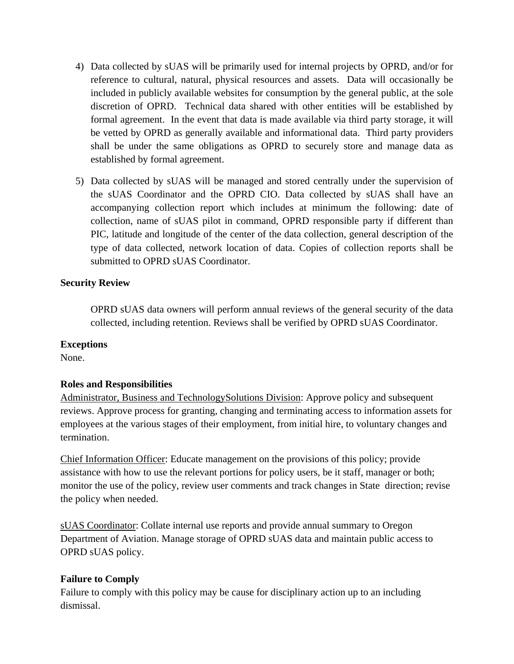- 4) Data collected by sUAS will be primarily used for internal projects by OPRD, and/or for reference to cultural, natural, physical resources and assets. Data will occasionally be included in publicly available websites for consumption by the general public, at the sole discretion of OPRD. Technical data shared with other entities will be established by formal agreement. In the event that data is made available via third party storage, it will be vetted by OPRD as generally available and informational data. Third party providers shall be under the same obligations as OPRD to securely store and manage data as established by formal agreement.
- 5) Data collected by sUAS will be managed and stored centrally under the supervision of the sUAS Coordinator and the OPRD CIO. Data collected by sUAS shall have an accompanying collection report which includes at minimum the following: date of collection, name of sUAS pilot in command, OPRD responsible party if different than PIC, latitude and longitude of the center of the data collection, general description of the type of data collected, network location of data. Copies of collection reports shall be submitted to OPRD sUAS Coordinator.

## **Security Review**

OPRD sUAS data owners will perform annual reviews of the general security of the data collected, including retention. Reviews shall be verified by OPRD sUAS Coordinator.

#### **Exceptions**

None.

## **Roles and Responsibilities**

Administrator, Business and TechnologySolutions Division: Approve policy and subsequent reviews. Approve process for granting, changing and terminating access to information assets for employees at the various stages of their employment, from initial hire, to voluntary changes and termination.

Chief Information Officer: Educate management on the provisions of this policy; provide assistance with how to use the relevant portions for policy users, be it staff, manager or both; monitor the use of the policy, review user comments and track changes in State direction; revise the policy when needed.

sUAS Coordinator: Collate internal use reports and provide annual summary to Oregon Department of Aviation. Manage storage of OPRD sUAS data and maintain public access to OPRD sUAS policy.

#### **Failure to Comply**

Failure to comply with this policy may be cause for disciplinary action up to an including dismissal.